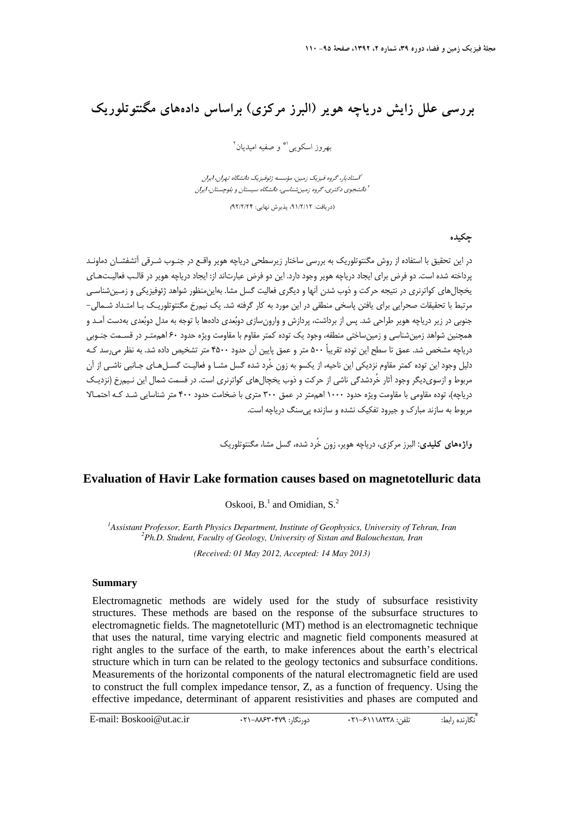# **بررسي علل زايش درياچه هوير (البرز مركزي) براساس دادههاي مگنتوتلوريك**

بهروز اسكويي<sup> ا</sup> و صفيه اميديان <sup>٢</sup>

استاديا، گروه فيزيك زمين، مؤسسه ژئوفيزيك دانشگاه تهران ايران دانشجوي دكتري، گروه زمينشناسي، دانشگاه سيستان <sup>و</sup> بلوچستان، ايران <sup>2</sup>

(دريافت: ،91/2/12 پذيرش نهايي: 92/2/24)

## **چكيده**

در اين تحقيق با استفاده از روش مگنتوتلوريك به بررسي ساختار زيرسطحي درياچه هوير واقـع در جنـوب شـرقي آتشفشـان دماونـد پرداخته شده است. دو فرض براي ايجاد درياچه هوير وجود دارد. اين دو فرض عبارتاند از: ايجاد درياچه هوير در قالـب فعاليـتهـاي يخچالهاي كواترنري در نتيجه حركت و ذوب شدن آنها و ديگري فعاليت گسل مشا. بهاينمنظور شواهد ژئوفيزيكي و زمـينشناسـي مرتبط با تحقيقات صحرايي براي يافتن پاسخي منطقي در اين مورد به كار گرفته شد. يك نيمرخ مگنتوتلوريـك بـا امتـداد شـمالي- جنوبي در زير درياچه هوير طراحي شد. پس از برداشت، پردازش و وارون سازي دوبُعدي دادهها با توجه به مدل دوبُعدي بهدست آمـد و همچنين شواهد زمينشناسي و زمينساختي منطقه، وجود يك توده كمتر مقاوم با مقاومت ويژه حدود 60 اهممتـر در قسـمت جنـوبي درياچه مشخص شد. عمق تا سطح اين توده تقريباً 500 متر و عمق پايين آن حدود 4500 متر تشخيص داده شد. به نظر ميرسد كـه دليل وجود اين توده كمتر مقاوم نزديكي اين ناحيه، از يكسو به زون خُرد شده گسل مشـا و فعاليـت گسـلهـاي جـانبي ناشـي از آن مربوط و ازسويديگر وجود آثار خُردشدگي ناشي از حركت و ذوب يخچالهاي كواترنري است. در قسمت شمال اين نـيمرخ (نزديـك درياچه)، توده مقاومي با مقاومت ويژه حدود 1000 اهممتر در عمق 300 متري با ضخامت حدود 400 متر شناسايي شـد كـه احتمـالا مربوط به سازند مبارك و جيرود تفكيك نشده و سازنده پيسنگ درياچه است.

**واژههاي كليدي:** البرز مركزي، درياچه هوير، زون خُرد شده، گسل مشا، مگنتوتلوريك

# **Evaluation of Havir Lake formation causes based on magnetotelluric data**

Oskooi,  $B<sup>1</sup>$  and Omidian,  $S<sup>2</sup>$ 

*1 Assistant Professor, Earth Physics Department, Institute of Geophysics, University of Tehran, Iran 2 Ph.D. Student, Faculty of Geology, University of Sistan and Balouchestan, Iran* 

*(Received: 01 May 2012, Accepted: 14 May 2013)* 

#### **Summary**

Electromagnetic methods are widely used for the study of subsurface resistivity structures. These methods are based on the response of the subsurface structures to electromagnetic fields. The magnetotelluric (MT) method is an electromagnetic technique that uses the natural, time varying electric and magnetic field components measured at right angles to the surface of the earth, to make inferences about the earth's electrical structure which in turn can be related to the geology tectonics and subsurface conditions. Measurements of the horizontal components of the natural electromagnetic field are used to construct the full complex impedance tensor, Z, as a function of frequency. Using the effective impedance, determinant of apparent resistivities and phases are computed and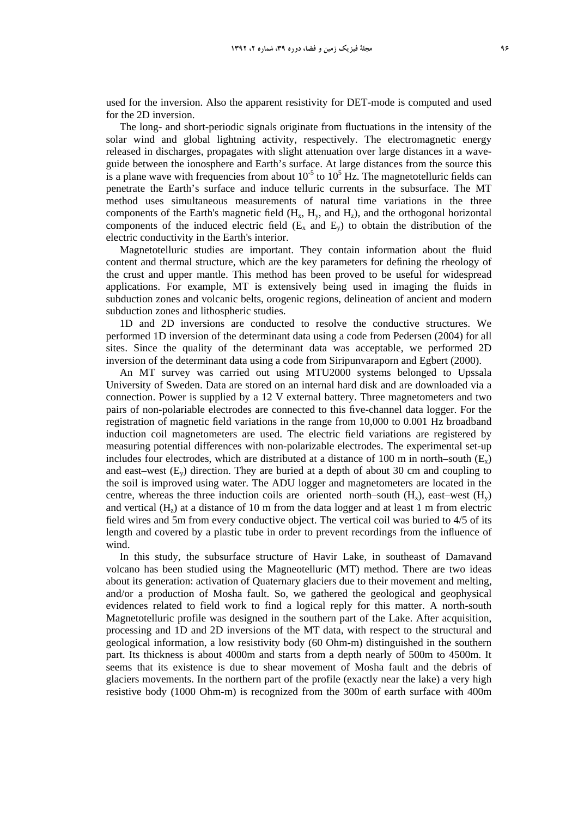used for the inversion. Also the apparent resistivity for DET-mode is computed and used for the 2D inversion.

The long- and short-periodic signals originate from fluctuations in the intensity of the solar wind and global lightning activity, respectively. The electromagnetic energy released in discharges, propagates with slight attenuation over large distances in a waveguide between the ionosphere and Earth's surface. At large distances from the source this is a plane wave with frequencies from about  $10^{-5}$  to  $10^{5}$  Hz. The magnetotelluric fields can penetrate the Earth's surface and induce telluric currents in the subsurface. The MT method uses simultaneous measurements of natural time variations in the three components of the Earth's magnetic field  $(H_x, H_y,$  and  $H_z)$ , and the orthogonal horizontal components of the induced electric field  $(E_x \text{ and } E_y)$  to obtain the distribution of the electric conductivity in the Earth's interior.

Magnetotelluric studies are important. They contain information about the fluid content and thermal structure, which are the key parameters for defining the rheology of the crust and upper mantle. This method has been proved to be useful for widespread applications. For example, MT is extensively being used in imaging the fluids in subduction zones and volcanic belts, orogenic regions, delineation of ancient and modern subduction zones and lithospheric studies.

1D and 2D inversions are conducted to resolve the conductive structures. We performed 1D inversion of the determinant data using a code from Pedersen (2004) for all sites. Since the quality of the determinant data was acceptable, we performed 2D inversion of the determinant data using a code from Siripunvaraporn and Egbert (2000).

An MT survey was carried out using MTU2000 systems belonged to Upssala University of Sweden. Data are stored on an internal hard disk and are downloaded via a connection. Power is supplied by a 12 V external battery. Three magnetometers and two pairs of non-polariable electrodes are connected to this five-channel data logger. For the registration of magnetic field variations in the range from 10,000 to 0.001 Hz broadband induction coil magnetometers are used. The electric field variations are registered by measuring potential differences with non-polarizable electrodes. The experimental set-up includes four electrodes, which are distributed at a distance of 100 m in north–south  $(E_x)$ and east–west  $(E_v)$  direction. They are buried at a depth of about 30 cm and coupling to the soil is improved using water. The ADU logger and magnetometers are located in the centre, whereas the three induction coils are oriented north–south  $(H_v)$ , east–west  $(H_v)$ and vertical  $(H_z)$  at a distance of 10 m from the data logger and at least 1 m from electric field wires and 5m from every conductive object. The vertical coil was buried to 4/5 of its length and covered by a plastic tube in order to prevent recordings from the influence of wind.

In this study, the subsurface structure of Havir Lake, in southeast of Damavand volcano has been studied using the Magneotelluric (MT) method. There are two ideas about its generation: activation of Quaternary glaciers due to their movement and melting, and/or a production of Mosha fault. So, we gathered the geological and geophysical evidences related to field work to find a logical reply for this matter. A north-south Magnetotelluric profile was designed in the southern part of the Lake. After acquisition, processing and 1D and 2D inversions of the MT data, with respect to the structural and geological information, a low resistivity body (60 Ohm-m) distinguished in the southern part. Its thickness is about 4000m and starts from a depth nearly of 500m to 4500m. It seems that its existence is due to shear movement of Mosha fault and the debris of glaciers movements. In the northern part of the profile (exactly near the lake) a very high resistive body (1000 Ohm-m) is recognized from the 300m of earth surface with 400m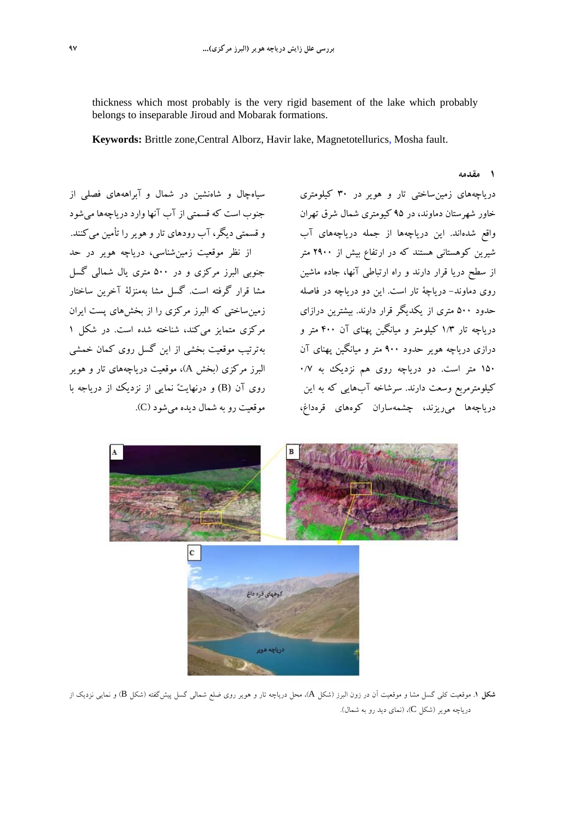thickness which most probably is the very rigid basement of the lake which probably belongs to inseparable Jiroud and Mobarak formations.

**Keywords:** Brittle zone,Central Alborz, Havir lake, Magnetotellurics, Mosha fault.

سياهچال و شاهنشين در شمال و آبراهههاى فصلى از جنوب است كه قسمتى از آب آنها وارد درياچهها ميشود و قسمتي ديگر، آب رودهاى تار و هوير را تأمين ميكنند. از نظر موقعيت زمينشناسي، درياچه هوير در حد جنوبي البرز مركزي و در 500 متري يال شمالي گسل مشا قرار گرفته است. گسل مشا بهمنزلة آخرين ساختار زمينساختي كه البرز مركزي را از بخشهاي پست ايران مركزي متمايز ميكند، شناخته شده است. در شكل 1 بهترتيب موقعيت بخشي از اين گسل روى كمان خمشي البرز مركزي (بخش A(، موقعيت درياچههاي تار و هوير روي آن (B (و درنهايت نمايي از نزديك از درياجه با

درياچههاى زمينساختى تار و هوير در 30 كيلومترى خاور شهرستان دماوند، در 95 كيومتري شمال شرق تهران واقع شدهاند. اين درياچهها از جمله درياچههاى آب شيرين كوهستانى هستند كه در ارتفاع بيش از 2900 متر از سطح دريا قرار دارند و راه ارتباطى آنها، جاده ماشين روى دماوند- درياچة تار است. اين دو درياچه در فاصله حدود 500 مترى از يكديگر قرار دارند. بيشترين درازاى درياچه تار 1/3 كيلومتر و ميانگين پهناى آن 400 متر و درازى درياچه هوير حدود 900 متر و ميانگين پهناى آن 150 متر است. دو درياچه روى هم نزديك به 0/7 كيلومترمربع وسعت دارند. سرشاخه آبهايى كه به اين دریاچهها مىرریزند، چشمهساران كوههاى قرهداغ، موقعیت رو به شمال دیده مىشود (C).

**1 مقدمه** 



**شكل .1** موقعيت كلي گسل مشا و موقعيت آن در زون البرز (شكل A(، محل درياچه تار و هوير روي ضلع شمالي گسل پيشگفته (شكل B (و نمايي نزديك از درياچه هوير (شكل C)، (نماي ديد رو به شمال).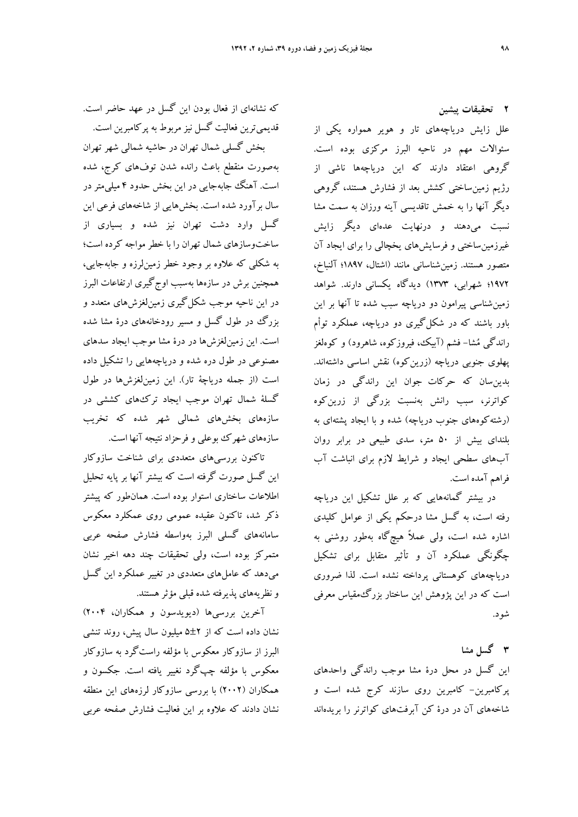**2 تحقيقات پيشين**  علل زايش درياچههاي تار و هوير همواره يكي از سئوالات مهم در ناحيه البرز مركزي بوده است. گروهي اعتقاد دارند كه اين درياچهها ناشي از رژيم زمينساختي كشش بعد از فشارش هستند، گروهي ديگر آنها را به خمش تاقديسي آينه ورزان به سمت مشا نسبت ميدهند و درنهايت عدهاي ديگر زايش غيرزمينساختي و فرسايشهاي يخچالي را براي ايجاد آن متصور هستند. زمينشناساني مانند (اشتال، 1897؛ آلنباخ، 1972؛ شهرابى، 1373) ديدگاه يكساني دارند. شواهد زمينشناسى پيرامون دو درياچه سبب شده تا آنها بر اين باور باشند كه در شكلگيرى دو درياچه، عملكرد توأم راندگى مشا- فشم (آبيك، فيروزكوه، شاهرود) و كوهلغز پهلوى جنوبى درياچه (زرينكوه) نقش اساسى داشتهاند. بدينسان كه حركات جوان اين راندگى در زمان كواترنر، سبب رانش بهنسبت بزرگى از زرينكوه (رشتهكوههاى جنوب درياچه) شده و با ايجاد پشتهاى به بلنداى بيش از 50 متر، سدى طبيعى در برابر روان آبهاى سطحى ايجاد و شرايط لازم براى انباشت آب فراهم آمده است.

در بيشتر گمانههايي كه بر علل تشكيل اين درياچه رفته است، به گسل مشا درحكم يكي از عوامل كليدي اشاره شده است، ولي عملاً هيچگاه بهطور روشني به چگونگي عملكرد آن و تأثير متقابل براي تشكيل درياچههاي كوهستاني پرداخته نشده است. لذا ضروري است كه در اين پژوهش اين ساختار بزرگمقياس معرفي شود.

**3 گسل مشا**  اين گسل در محل درة مشا موجب راندگي واحدهاي پركامبرين- كامبرين روي سازند كرج شده است و شاخههاي آن در درة كن آبرفتهاي كواترنر را بريدهاند

كه نشانهاي از فعال بودن اين گسل در عهد حاضر است. قديميترين فعاليت گسل نيز مربوط به پركامبرين است.

بخش گسلي شمال تهران در حاشيه شمالي شهر تهران بهصورت منقطع باعث رانده شدن توفهاي كرج، شده است. آهنگ جابهجايي در اين بخش حدود 4 ميليمتر در سال برآورد شده است. بخشهايي از شاخههاي فرعي اين گسل وارد دشت تهران نيز شده و بسياري از ساختوسازهاي شمال تهران را با خطر مواجه كرده است؛ به شكلي كه علاوه بر وجود خطر زمينلرزه و جابهجايي، همچنين برش در سازهها بهسبب اوجگيري ارتفاعات البرز در اين ناحيه موجب شكلگيري زمينلغزشهاي متعدد و بزرگ در طول گسل و مسير رودخانههاي درة مشا شده است. اين زمينلغزشها در درة مشا موجب ايجاد سدهاي مصنوعي در طول دره شده و درياچههايي را تشكيل داده است (از جمله درياچة تار). اين زمينلغزشها در طول گسلة شمال تهران موجب ايجاد تركهاي كششي در سازههاي بخشهاي شمالي شهر شده كه تخريب سازههاي شهرك بوعلي و فرحزاد نتيجه آنها است.

تاكنون بررسيهاي متعددي براي شناخت سازوكار اين گسل صورت گرفته است كه بيشتر آنها بر پايه تحليل اطلاعات ساختاري استوار بوده است. همانطور كه پيشتر ذكر شد، تاكنون عقيده عمومي روى عمكلرد معكوس سامانههاي گسلي البرز بهواسطه فشارش صفحه عربي متمركز بوده است، ولي تحقيقات چند دهه اخير نشان ميدهد كه عاملهاي متعددي در تغيير عملكرد اين گسل و نظريههاي پذيرفته شده قبلي مؤثرهستند.

آخرين بررسيها (ديويدسون و همكاران، 2004) نشان داده است كه از 5±2 ميليون سال پيش، روند تنشي البرز از سازوكار معكوس با مؤلفه راستگرد به سازوكار معكوس با مؤلفه چپگرد نغيير يافته است. جكسون و همكاران (2002) با بررسي سازوكار لرزههاي اين منطقه نشان دادند كه علاوه بر اين فعاليت فشارش صفحه عربي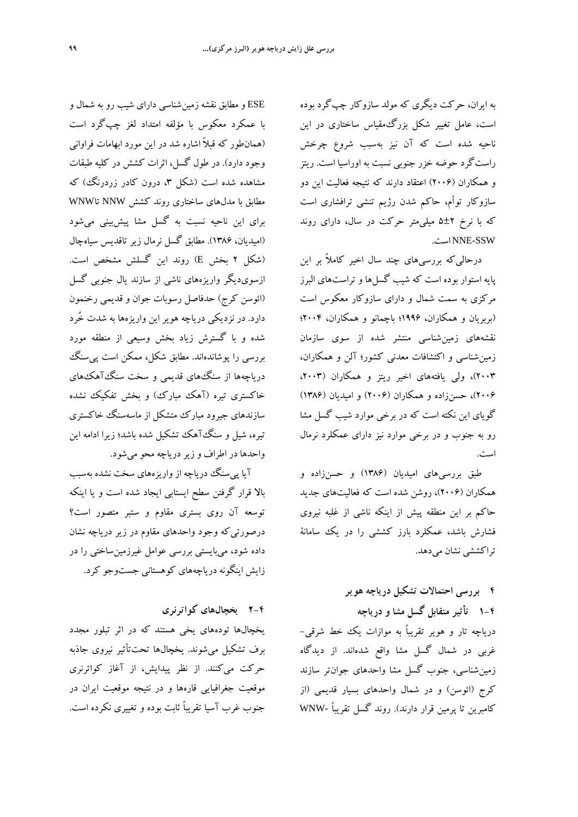به ايران، حركت ديگري كه مولد سازوكار چپگرد بوده است، عامل تغيير شكل بزرگمقياس ساختاري در اين ناحيه شده است كه آن نيز بهسبب شروع چرخش راستگرد حوضه خزر جنوبي نسبت به اوراسيا است. ريتز و همكاران (2006) اعتقاد دارند كه نتيجه فعاليت اين دو سازوكار توأم، حاكم شدن رژيم تنشي ترافشاري است كه با نرخ 5±2 ميليمتر حركت در سال، داراي روند NNE-SSW است.

درحاليكه بررسيهاي چند سال اخير كاملاً بر اين پايه استوار بوده است كه شيب گسلها و تراستهاي البرز مركزي به سمت شمال و داراي سازوكار معكوس است (بربريان و همكاران، 1996؛ باچمانو و همكاران، 2004؛ نقشههاي زمينشناسي منتشر شده از سوي سازمان زمينشناسي و اكتشافات معدني كشور؛ آلن و همكاران، 2003)، ولي يافتههاي اخير ريتز و همكاران (،2003 2006)، حسنزاده و همكاران (2006) و اميديان (1386) گوياي اين نكته است كه در برخي موارد شيب گسل مشا رو به جنوب و در برخي موارد نيز داراي عمكلرد نرمال است.

طبق بررسيهاي اميديان (1386) و حسنزاده و همكاران (2006)، روشن شده است كه فعاليتهاي جديد حاكم بر اين منطقه پيش از اينكه ناشي از غلبه نيروي فشارش باشد، عمكلرد بارز كششي را در يك سامانة تراكششي نشان ميدهد.

**4 بررسي احتمالات تشكيل درياچه هوير -4 1 تأثير متقابل گسل مشا و درياچه**  درياچه تار و هوير تقريباً به موازات يك خط شرقي- غربي در شمال گسل مشا واقع شدهاند. از ديدگاه زمينشناسي، جنوب گسل مشا واحدهاي جوانتر سازند كرج (ائوسن) و در شمال واحدهاي بسيار قديمي (از كامبرين تا پرمين قرار دارند). روند گسل تقريباً -WNW

ESE و مطابق نقشه زمينشناسي داراي شيب رو به شمال و با عمكرد معكوس با مؤلفه امتداد لغز چپگرد است (همانطور كه قبلاً اشاره شد در اين مورد ابهامات فراواني وجود دارد). در طول گسل، اثرات كشش در كليه طبقات مشاهده شده است (شكل ،3 درون كادر زردرنگ) كه مطابق با مدلهاي ساختاري روند كشش NNW تاWNW براي اين ناحيه نسبت به گسل مشا پيشبيني ميشود (اميديان، 1386). مطابق گسل نرمال زير تاقديس سياهچال (شكل 2 بخش E (روند اين گسلش مشخص است. ازسويديگر واريزههاي ناشي از سازند يال جنوبي گسل (ائوسن كرج) حدفاصل رسوبات جوان و قديمي رخنمون دارد. در نزديكي درياچه هوير اين واريزهها به شدت خُرد شده و با گسترش زياد بخش وسيعي از منطقه مورد بررسي را پوشاندهاند. مطابق شكل، ممكن است پيسنگ درياچهها از سنگهاي قديمي و سخت سنگآهكهاي خاكستري تيره (آهك مبارك) و بخش تفكيك نشده سازندهاي جيرود مبارك متشكل از ماسهسنگ خاكستري تيره، شيل و سنگآهك تشكيل شده باشد؛ زيرا ادامه اين واحدها در اطراف وزيردرياچه محو ميشود.

آيا پيسنگ درياچه از واريزههاي سخت نشده بهسبب بالا قرار گرفتن سطح ايستابي ايجاد شده است و يا اينكه توسعه آن روى بستري مقاوم و ستبر متصور است؟ درصورتيكه وجود واحدهاي مقاوم در زير درياچه نشان داده شود، ميبايستي بررسي عوامل غيرزمينساختي را در زايش اينگونه درياچههاي كوهستاني جستوجو كرد.

**-4 2 يخچالهاي كواترنري** 

يخچالها تودههاي يخي هستند كه در اثر تبلور مجدد برف تشكيل ميشوند. يخچالها تحتتأثير نيروي جاذبه حركت ميكنند. از نظر پيدايش، از آغاز كواترنري موقعيت جغرافيايي قارهها و در نتيجه موقعيت ايران در جنوب غرب آسيا تقريباً ثابت بوده و تغييري نكرده است.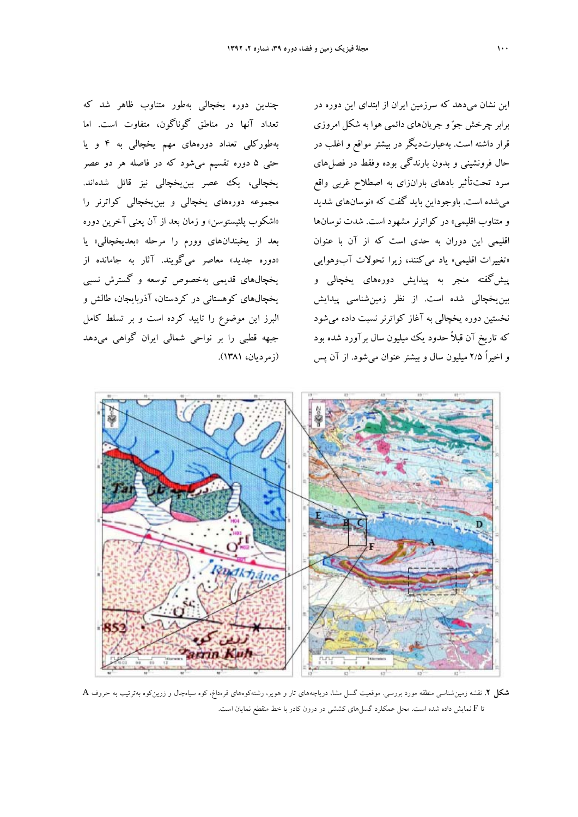چندين دوره يخچالي بهطور متناوب ظاهر شد كه تعداد آنها در مناطق گوناگون، متفاوت است. اما بهطوركلي تعداد دورههاي مهم يخچالي به 4 و يا حتي 5 دوره تقسيم ميشود كه در فاصله هر دو عصر يخچالي، يك عصر بينيخچالي نيز قائل شدهاند. مجموعه دورههاي يخچالي و بينيخچالي كواترنر را «اشكوب پلئيستوسن» و زمان بعد از آن يعني آخرين دوره بعد از يخبندانهاي وورم را مرحله «بعديخچالي» يا «دوره جديد» معاصر ميگويند. آثار به جامانده از يخچالهاي قديمي بهخصوص توسعه و گسترش نسبي يخچالهاي كوهستاني در كردستان، آذربايجان، طالش و البرز اين موضوع را تاييد كرده است و بر تسلط كامل جبهه قطبي را بر نواحي شمالي ايران گواهي ميدهد (زمرديان، 1381).

اين نشان ميدهد كه سرزمين ايران از ابتداي اين دوره در برابر چرخش جو و جريانهاي دائمي هوا به شكل امروزي قرار داشته است. بهعبارتديگر در بيشتر مواقع و اغلب در حال فرونشيني و بدون بارندگي بوده وفقط در فصلهاي سرد تحتتأثير بادهاي بارانزاي به اصطلاح غربي واقع ميشده است. باوجوداين بايد گفت كه «نوسانهاي شديد و متناوب اقليمي» در كواترنر مشهود است. شدت نوسانها اقليمي اين دوران به حدي است كه از آن با عنوان «تغييرات اقليمي» ياد ميكنند، زيرا تحولات آبوهوايي پيشگفته منجر به پيدايش دورههاي يخچالي و بينيخچالي شده است. از نظر زمينشناسي پيدايش نخستين دوره يخچالي به آغاز كواترنر نسبت داده ميشود كه تاريخ آن قبلاً حدود يك ميليون سال برآورد شده بود و اخيراً 2/5 ميليون سال و بيشتر عنوان ميشود. از آن پس



**شكل .2** نقشه زمينشناسي منطقه مورد بررسي. موقعيت گسل مشا، درياچههاي تار و هوير، رشتهكوههاي قرهداغ، كوه سياهچال و زرينكوه بهترتيب به حروف A تا F نمايش داده شده است. محل عمكلرد گسلهاي كششي در درون كادر با خط منقطع نمايان است.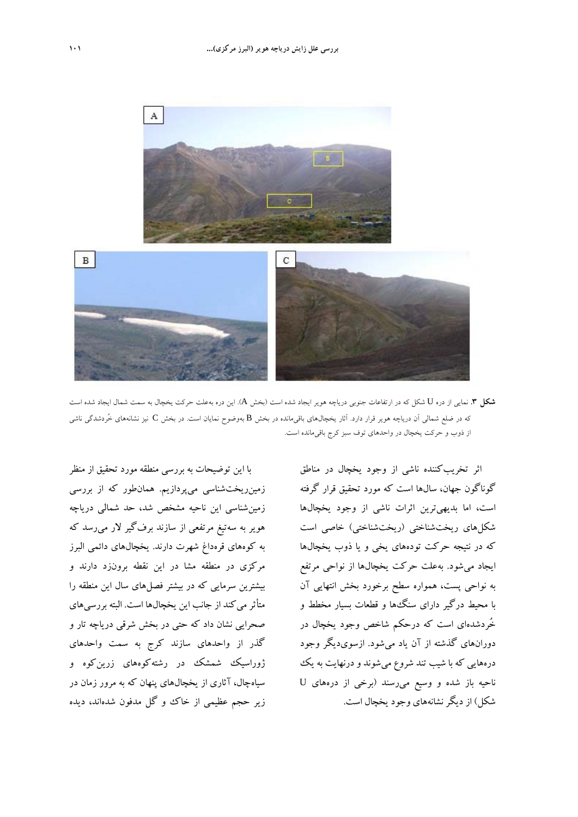

**شكل .3** نمايي از دره U شكل كه در ارتفاعات جنوبي درياچه هوير ايجاد شده است (بخش A(. اين دره بهعلت حركت يخچال به سمت شمال ايجاد شده است كه در ضلع شمالي آن درياچه هوير قرار دارد. آثار يخچالهاي باقيمانده در بخش B بهوضوح نمايان است. در بخش C نيز نشانههاي خُردشدگي ناشي از ذوب و حركت يخچال در واحدهاي توف سبز كرج باقيمانده است.

با اين توضيحات به بررسي منطقه مورد تحقيق از منظر زمينريختشناسي ميپردازيم. همانطور كه از بررسي زمينشناسي اين ناحيه مشخص شد، حد شمالي درياچه هوير به سهتيغ مرتفعي از سازند برفگير لار ميرسد كه به كوههاي قرهداغ شهرت دارند. يخچالهاي دائمي البرز مركزي در منطقه مشا در اين نقطه برونزد دارند و بيشترين سرمايي كه در بيشتر فصلهاي سال اين منطقه را متأثر مي كند از جانب اين يخچالها است. البته بررسي هاي صحرايي نشان داد كه حتي در بخش شرقي درياچه تار و گذر از واحدهاي سازند كرج به سمت واحدهاي ژوراسيك شمشك در رشتهكوههاى زرينكوه و سياهچال، آثاري از يخچالهاي پنهان كه به مرور زمان در زير حجم عظيمي از خاك و گل مدفون شدهاند، ديده

اثر تخريبكننده ناشي از وجود يخچال در مناطق گوناگون جهان، سالها است كه مورد تحقيق قرار گرفته است، اما بديهيترين اثرات ناشي از وجود يخچالها شكلهاي ريختشناختي (ريختشناختي) خاصي است كه در نتيجه حركت تودههاي يخي و يا ذوب يخچالها ايجاد ميشود. بهعلت حركت يخچالها از نواحي مرتفع به نواحي پست، همواره سطح برخورد بخش انتهايي آن با محيط درگير داراي سنگها و قطعات بسيار مخطط و خُردشدهاي است كه درحكم شاخص وجود يخچال در دورانهاي گذشته از آن ياد ميشود. ازسويديگر وجود درههايي كه با شيب تند شروع ميشوند ودرنهايت به يك ناحيه باز شده و وسيع ميرسند (برخي از درههاي U شكل) از ديگر نشانههاي وجود يخچال است.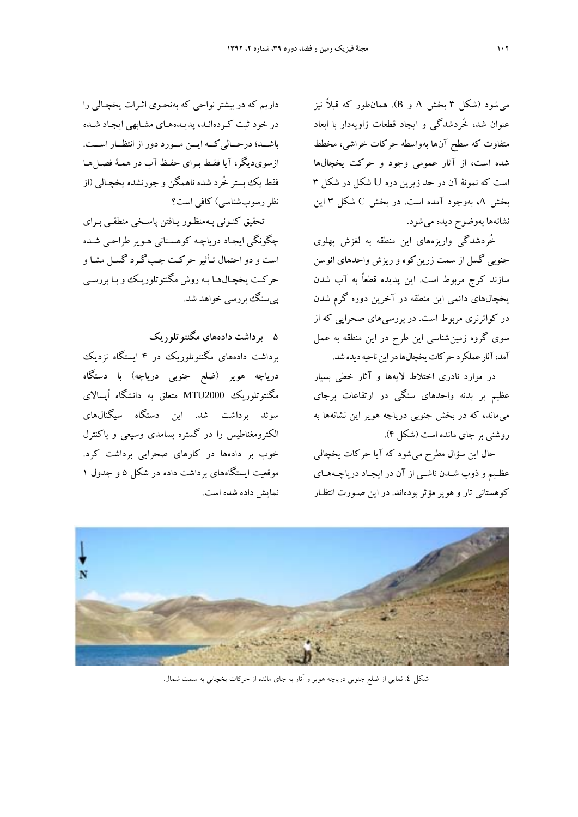ميشود (شكل 3 بخش A و B(. همانطور كه قبلاً نيز عنوان شد، خُردشدگي و ايجاد قطعات زاويهدار با ابعاد متفاوت كه سطح آنها بهواسطه حركات خراشي، مخطط شده است، از آثار عمومي وجود و حركت يخچالها است كه نمونة آن در حد زيرين دره U شكل در شكل 3 بخش A، بهوجود آمده است. در بخش C شكل 3 اين نشانهها بهوضوح ديده ميشود.

خُردشدگي واريزههاي اين منطقه به لغزش پهلوي جنوبي گسل از سمت زرينكوه و ريزش واحدهاي ائوسن سازند كرج مربوط است. اين پديده قطعاً به آب شدن يخچالهاي دائمي اين منطقه در آخرين دوره گرم شدن در كواترنري مربوط است. در بررسيهاي صحرايي كه از سوي گروه زمينشناسي اين طرح در اين منطقه به عمل آمد، آثار عملكرد حركات يخچالها در اين ناحيه ديده شد.

در موارد نادري اختلاط لايهها و آثار خطي بسيار عظيم بر بدنه واحدهاي سنگي در ارتفاعات برجاي ميماند، كه در بخش جنوبي درياچه هوير اين نشانهها به روشني بر جاي مانده است (شكل 4).

حال اين سؤال مطرح ميشود كه آيا حركات يخچالي عظـيم و ذوب شـدن ناشـي از آن در ايجـاد درياچـههـاي كوهستاني تار و هوير مؤثر بودهاند. در اين صـورت انتظـار نمايش داده شده است.

داريم كه در بيشتر نواحي كه بهنحـوي اثـرات يخچـالي را در خود ثبت كـردهانـد، پديـدههـاي مشـابهي ايجـاد شـده باشــد؛ درحــاليكــه ايــن مــورد دور از انتظــار اســت. ازسويديگر، آيا فقـط بـراي حفـظ آب در همـة فصـل هـا فقط يك بستر خُرد شده ناهمگن و جورنشده يخچـالي (از نظررسوبشناسي) كافي است؟

تحقيق كنـوني بـهمنظـور يـافتن پاسـخي منطقـي بـراي چگونگي ايجـاد درياچـه كوهسـتاني هـوير طراحـي شـده است و دو احتمال تـأثير حركـت چـپگـرد گسـل مشـا و حركـت يخچـالهـا بـه روش مگنتوتلوريـك و بـا بررسـي پيسنگ بررسي خواهد شد.

**5 برداشت دادههاي مگنتوتلوريك**  برداشت دادههاي مگنتوتلوريك در 4 ايستگاه نزديك درياچه هوير (ضلع جنوبي درياچه) با دستگاه مگنتوتلوريك 2000MTU متعلق به دانشگاه اُپسالاي سوئد برداشت شد. اين دستگاه سيگنالهاي الكترومغناطيس را در گستره بسامدي وسيعي و باكنترل خوب بر دادهها در كارهاي صحرايي برداشت كرد. موقعيت ايستگاههاي برداشت داده در شكل 5 و جدول 1



شكل .4 نمايي از ضلع جنوبي درياچه هوير و آثار به جاي مانده از حركات يخچالي به سمت شمال.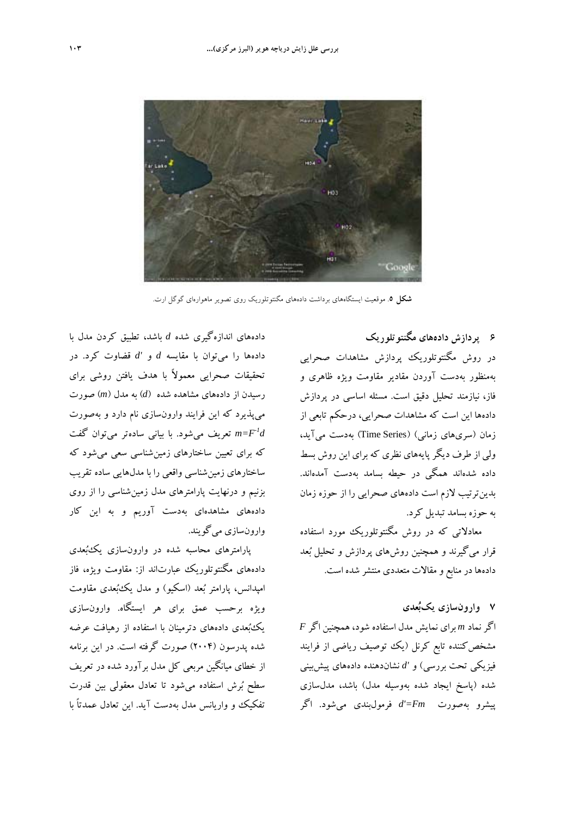

**شكل** .**5** موقعيت ايستگاههاي برداشت دادههاي مگنتوتلوريك روى تصوير ماهوارهاي گوگل ارت.

**6 پردازش دادههاي مگنتوتلوريك**  در روش مگنتوتلوريك پردازش مشاهدات صحرايي بهمنظور بهدست آوردن مقادير مقاومت ويژه ظاهري و فاز، نيازمند تحليل دقيق است. مسئله اساسي در پردازش دادهها اين است كه مشاهدات صحرايي، درحكم تابعي از زمان (سريهاي زماني) (Series Time (بهدست ميآيد، ولي از طرف ديگر پايههاي نظري كه براي اين روش بسط داده شدهاند همگي در حيطه بسامد بهدست آمدهاند. بدينترتيب لازم است دادههاي صحرايي را از حوزه زمان به حوزه بسامد تبديل كرد.

معادلاتي كه در روش مگنتوتلوريك مورد استفاده قرار ميگيرند و همچنين روشهاي پردازش و تحليل بعد دادهها در منابع و مقالات متعددي منتشر شده است.

# **7 وارونسازي يكبعدي**

اگر نماد *m* براي نمايش مدل استفاده شود، همچنين اگر *F* مشخصكننده تابع كرنل (يك توصيف رياضي از فرايند فيزيكي تحت بررسي) و *'d* نشاندهنده دادههاي پيشبيني شده (پاسخ ايجاد شده بهوسيله مدل) باشد، مدلسازي پيشرو بهصورت *Fm'=d* فرمولبندي ميشود. اگر

دادههاي اندازهگيري شده *d* باشد، تطبيق كردن مدل با دادهها را ميتوان با مقايسه *d* و *'d* قضاوت كرد. در تحقيقات صحرايي معمولاً با هدف يافتن روشي براي رسيدن از دادههاي مشاهده شده (*d* (به مدل (*m* (صورت ميپذيرد كه اين فرايند وارونسازي نام دارد و بهصورت تعريف مي $d$ موي با بياني سادهتر مي $\bar{u}$ وان گفت  $m$ كه براي تعيين ساختارهاي زمينشناسي سعي ميشود كه ساختارهاي زمينشناسي واقعي را با مدلهايي ساده تقريب بزنيم و درنهايت پارامترهاي مدل زمينشناسي را از روي دادههاي مشاهدهاي بهدست آوريم و به اين كار وارونسازي ميگويند.

پارامترهاي محاسبه شده در وارونسازي يكبعدي دادههاي مگنتوتلوريك عبارتاند از: مقاومت ويژه، فاز امپدانس، پارامتر بعد (اسكيو) و مدل يكبعدي مقاومت ويژه برحسب عمق براي هر ايستگاه. وارونسازي يكبعدي دادههاي دترمينان با استفاده از رهيافت عرضه شده پدرسون (2004) صورت گرفته است. در اين برنامه از خطاي ميانگين مربعي كل مدل برآورد شده در تعريف سطح برش استفاده ميشود تا تعادل معقولي بين قدرت تفكيك و واريانس مدل بهدست آيد. اين تعادل عمدتاً با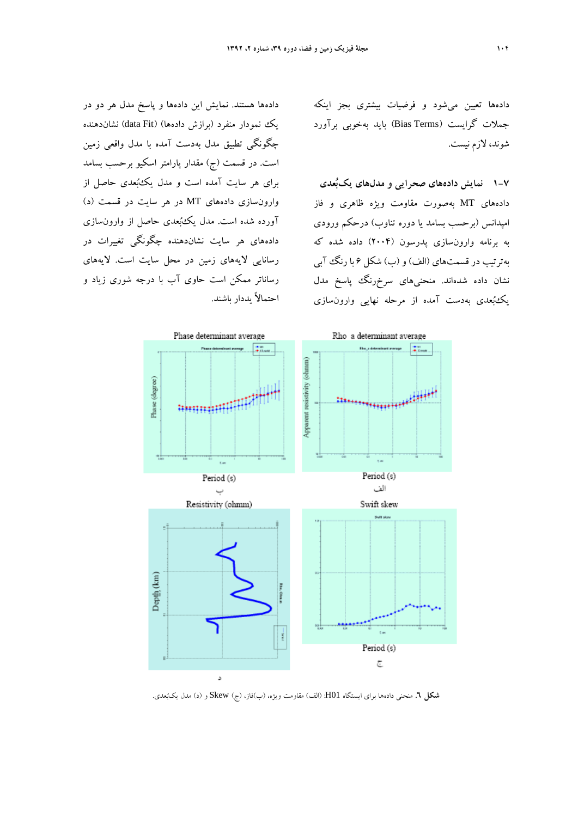دادهها تعيين ميشود و فرضيات بيشتري بجز اينكه جملات گرايست (Bias Terms) بايد بهخوبي برآورد شوند، لازم نيست.

**1-7 نمايش دادههاي صحرايي و مدلهاي يكبعدي**  دادههاي MT بهصورت مقاومت ويژه ظاهري و فاز امپدانس (برحسب بسامد يا دوره تناوب) درحكم ورودي به برنامه وارونسازي پدرسون (2004) داده شده كه بهترتيب در قسمتهاي (الف) و (ب) شكل 6 با رنگ آبي نشان داده شدهاند. منحنيهاي سرخرنگ پاسخ مدل يكبعدي بهدست آمده از مرحله نهايي وارونسازي

دادهها هستند. نمايش اين دادهها و پاسخ مدل هر دو در يك نمودار منفرد (برازش دادهها) (Fit data (نشاندهنده چگونگي تطبيق مدل بهدست آمده با مدل واقعي زمين است. در قسمت (ج) مقدار پارامتر اسكيو برحسب بسامد براي هر سايت آمده است و مدل يكبعدي حاصل از وارونسازي دادههاي MT در هر سايت در قسمت (د) آورده شده است. مدل يكبعدي حاصل از وارونسازي دادههاي هر سايت نشاندهنده چگونگي تغييرات در رسانايي لايههاي زمين در محل سايت است. لايههاي رساناتر ممكن است حاوي آب با درجه شوري زياد و احتمالاً يددار باشند.



**شكل .6** منحني دادهها براي ايستگاه 01H:) الف) مقاومت ويژه، (ب)فاز، (ج) Skew و (د) مدل يكبعدي.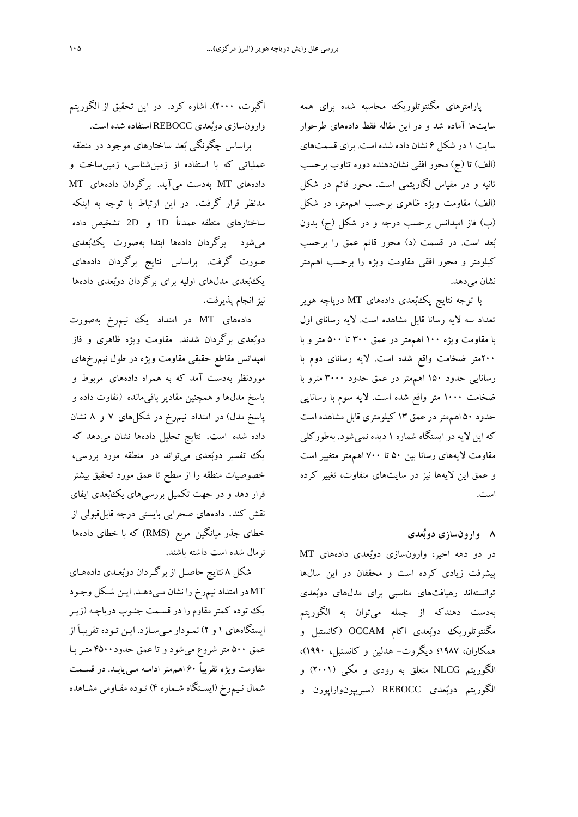پارامترهاي مگنتوتلوريك محاسبه شده براي همه سايتها آماده شد و در اين مقاله فقط دادههاي طرحوار سايت 1 در شكل 6 نشان داده شده است. براي قسمتهاي (الف) تا (ج) محور افقي نشاندهنده دوره تناوب برحسب ثانيه و در مقياس لگاريتمي است. محور قائم در شكل (الف) مقاومت ويژه ظاهري برحسب اهممتر، در شكل (ب) فاز امپدانس برحسب درجه و در شكل (ج) بدون بعد است. در قسمت (د) محور قائم عمق را برحسب كيلومتر و محور افقي مقاومت ويژه را برحسب اهممتر نشان مي دهد.

با توجه نتايج يكبعدي دادههاي MT درياچه هوير تعداد سه لايه رسانا قابل مشاهده است. لايه رساناي اول با مقاومت ويژه 100 اهممتر در عمق 300 تا 500 متر و با 200متر ضخامت واقع شده است. لايه رساناي دوم با رسانايي حدود 150 اهممتر در عمق حدود 3000 مترو با ضخامت 1000 متر واقع شده است. لايه سوم با رسانايي حدود 50 اهممتردر عمق 13 كيلومتري قابل مشاهده است كه اين لايه در ايستگاه شماره 1 ديده نميشود. بهطوركلي مقاومت لايههاي رسانا بين 50 تا 700 اهممتر متغيير است و عمق اين لايهها نيز در سايتهاي متفاوت، تغيير كرده است.

## **8 وارونسازي دوبعدي**

در دو دهه اخير، وارونسازي دوبعدي دادههاي MT پيشرفت زيادي كرده است و محققان در اين سالها توانستهاند رهيافتهاي مناسبي براي مدلهاي دوبعدي بهدست دهندكه از جمله ميتوان به الگوريتم مگنتوتلوريك دوبعدي اكام OCCAM) كانستبل و همكاران، 1987؛ ديگروت- هدلين و كانستبل، 1990)، الگوريتم NLCG متعلق به رودي و مكي (2001) و الگوريتم دوبعدي REBOCC) سيريپونواراپورن و

اگبرت، 2000). اشاره كرد. در اين تحقيق از الگوريتم وارونسازي دوبعدي REBOCC استفاده شده است.

براساس چگونگي بعد ساختارهاي موجود در منطقه عملياتي كه با استفاده از زمينشناسي، زمينساخت و دادههاي MT بهدست ميآيد. برگردان دادههاي MT مدنظر قرار گرفت. در اين ارتباط با توجه به اينكه ساختارهاي منطقه عمدتاً D1 و D2 تشخيص داده ميشود برگردان دادهها ابتدا بهصورت يكبعدي صورت گرفت. براساس نتايج برگردان دادههاي يكبعدي مدلهاي اوليه براي برگردان دوبعدي دادهها نيز انجام پذيرفت.

دادههاي MT در امتداد يك نيم رخ بهصورت دوبعدي برگردان شدند. مقاومت ويژه ظاهري و فاز امپدانس مقاطع حقيقي مقاومت ويژه در طول نيمرخهاي موردنظر بهدست آمد كه به همراه دادههاي مربوط و پاسخ مدلها و همچنين مقادير باقيمانده (تفاوت داده و پاسخ مدل) در امتداد نيمرخ در شكلهاي 7 و 8 نشان داده شده است. نتايج تحليل دادهها نشان ميدهد كه يك تفسير دوبعدي ميتواند در منطقه مورد بررسي، خصوصيات منطقه را از سطح تا عمق مورد تحقيق بيشتر قرار دهد و در جهت تكميل بررسيهاي يكبعدي ايفاي نقش كند. دادههاي صحرايي بايستي درجه قابلقبولي از خطاي جذر ميانگين مربع (RMS (كه با خطاي دادهها نرمال شده است داشته باشند.

شكل 8 نتايج حاصـل از برگـردان دوبعـدي دادههـاي MT در امتداد نيمرخ را نشان مـيدهـد. ايـن شـكل وجـود يك توده كمتر مقاوم را در قسـمت جنـوب درياچـه (زيـر ايستگاههاي 1 و 2) نمـودار مـيسـازد. ايـن تـوده تقريبـاً از عمق 500 متر شروع ميشود و تا عمق حدود4500 متـر بـا مقاومت ويژه تقريباً 60 اهممتر ادامـه مـييابـد. در قسـمت شمال نـيمرخ (ايسـتگاه شـماره 4) تـوده مقـاومي مشـاهده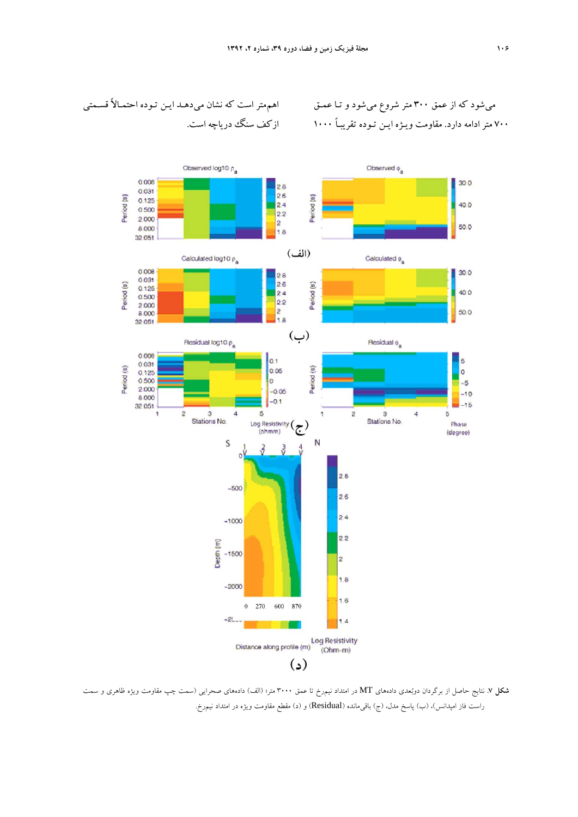



**شكل .7** نتايج حاصل از برگردان دوبعدي دادههاي MT در امتداد نيمرخ تا عمق 3000 متر؛ (الف) دادههاي صحرايي (سمت چپ مقاومت ويژه ظاهري و سمت راست فاز امپدانس)، (ب) پاسخ مدل، (ج) باقيمانده (Residual (و (د) مقطع مقاومت ويژه در امتداد نيمرخ.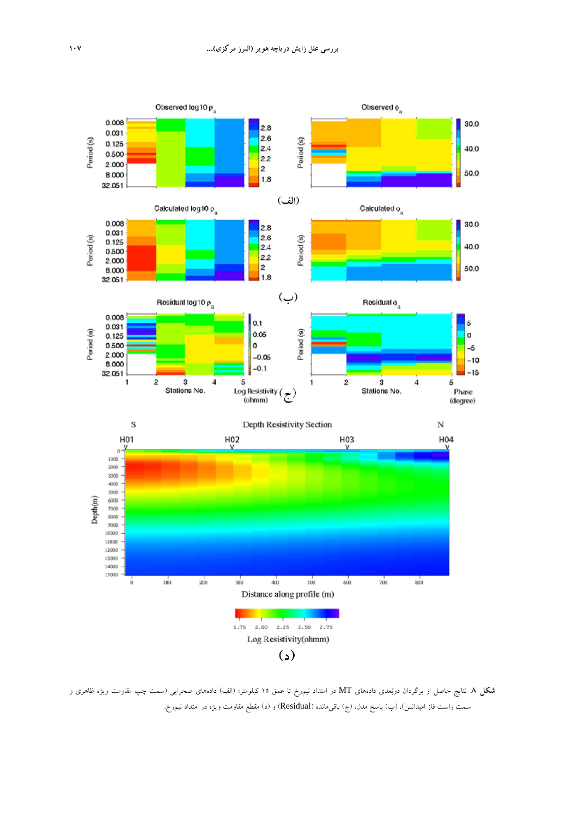

**شكل .8** نتايج حاصل از برگردان دوبعدي دادههاي MT در امتداد نيمرخ تا عمق 15 كيلومتر؛ (الف) دادههاي صحرايي (سمت چپ مقاومت ويژه ظاهري و سمت راست فاز امپدانس)، (ب) پاسخ مدل، (ج) باقيمانده (Residual (و (د) مقطع مقاومت ويژه در امتداد نيمرخ.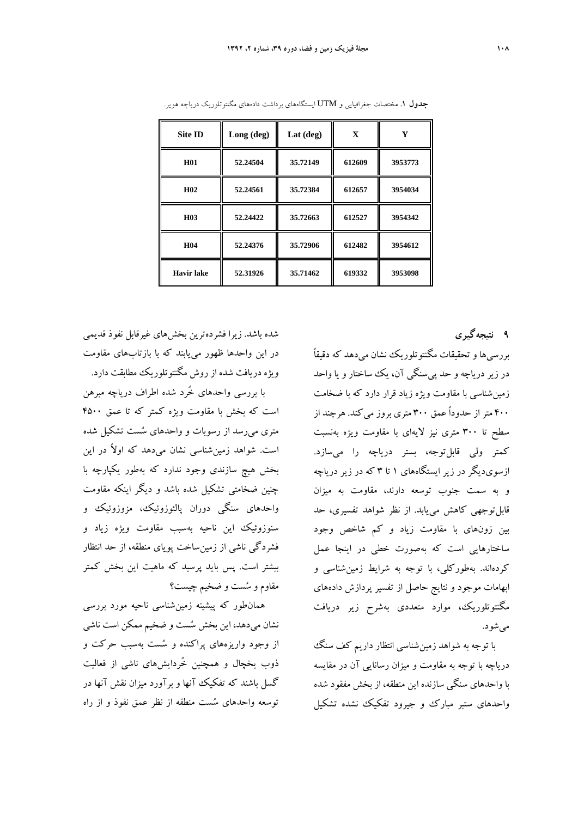| <b>Site ID</b>    | Long (deg) | Lat $(\text{deg})$ | $\mathbf X$ | Y       |
|-------------------|------------|--------------------|-------------|---------|
| <b>H01</b>        | 52.24504   | 35.72149           | 612609      | 3953773 |
| H <sub>02</sub>   | 52.24561   | 35.72384           | 612657      | 3954034 |
| H <sub>03</sub>   | 52.24422   | 35.72663           | 612527      | 3954342 |
| H <sub>04</sub>   | 52.24376   | 35.72906           | 612482      | 3954612 |
| <b>Havir lake</b> | 52.31926   | 35.71462           | 619332      | 3953098 |

**جدول .1** مختصات جغرافيايي و UTM ايستگاههاي برداشت دادههاي مگنتوتلوريك درياچه هوير.

شده باشد. زيرا فشردهترين بخشهاي غيرقابل نفوذ قديمي در اين واحدها ظهور مييابند كه با بازتابهاي مقاومت ويژه دريافت شده از روش مگنتوتلوريك مطابقت دارد.

با بررسي واحدهاي خُرد شده اطراف درياچه مبرهن است كه بخش با مقاومت ويژه كمتر كه تا عمق 4500 متري ميرسد از رسوبات و واحدهاي سست تشكيل شده است. شواهد زمينشناسي نشان ميدهد كه اولاً در اين بخش هيچ سازندي وجود ندارد كه بهطور يكپارچه با چنين ضخامتي تشكيل شده باشد و ديگر اينكه مقاومت واحدهاي سنگي دوران پالئوزوئيك، مزوزوئيك و سنوزوئيك اين ناحيه بهسبب مقاومت ويژه زياد و فشردگي ناشي از زمينساخت پوياي منطقه، از حد انتظار بيشتر است. پس بايد پرسيد كه ماهيت اين بخش كمتر مقاوم و سست و ضخيم چيست؟

همانطور كه پيشينه زمينشناسي ناحيه مورد بررسي نشان ميدهد، اين بخش سست و ضخيم ممكن است ناشي از وجود واريزههاي پراكنده و سست بهسبب حركت و ذوب يخچال و همچنين خُردايشهاي ناشي از فعاليت گسل باشند كه تفكيك آنها و برآورد ميزان نقش آنها در توسعه واحدهاي سست منطقه از نظر عمق نفوذ و از راه **9 نتيجهگيري** 

بررسيها و تحقيقات مگنتوتلوريك نشان ميدهد كه دقيقاً در زير درياچه و حد پيسنگي آن، يك ساختار و يا واحد زمينشناسي با مقاومت ويژه زياد قرار دارد كه با ضخامت 400 متر از حدوداً عمق 300 متري بروز ميكند. هرچند از سطح تا 300 متري نيز لايهاي با مقاومت ويژه بهنسبت كمتر ولي قابلتوجه، بستر درياچه را ميسازد. ازسوي ديگر در زير ايستگاههاي ۱ تا ۳ كه در زير درياچه و به سمت جنوب توسعه دارند، مقاومت به ميزان قابلتوجهي كاهش مييابد. از نظر شواهد تفسيري، حد بين زونهاي با مقاومت زياد و كم شاخص وجود ساختارهايي است كه بهصورت خطي در اينجا عمل كردهاند. بهطوركلي، با توجه به شرايط زمينشناسي و ابهامات موجود و نتايج حاصل از تفسير پردازش دادههاي مگنتوتلوريك، موارد متعددي بهشرح زير دريافت ميشود.

با توجه به شواهد زمينشناسي انتظار داريم كف سنگ درياچه با توجه به مقاومت و ميزان رسانايي آن در مقايسه با واحدهاي سنگي سازنده اين منطقه، از بخش مفقود شده واحدهاي ستبر مبارك و جيرود تفكيك نشده تشكيل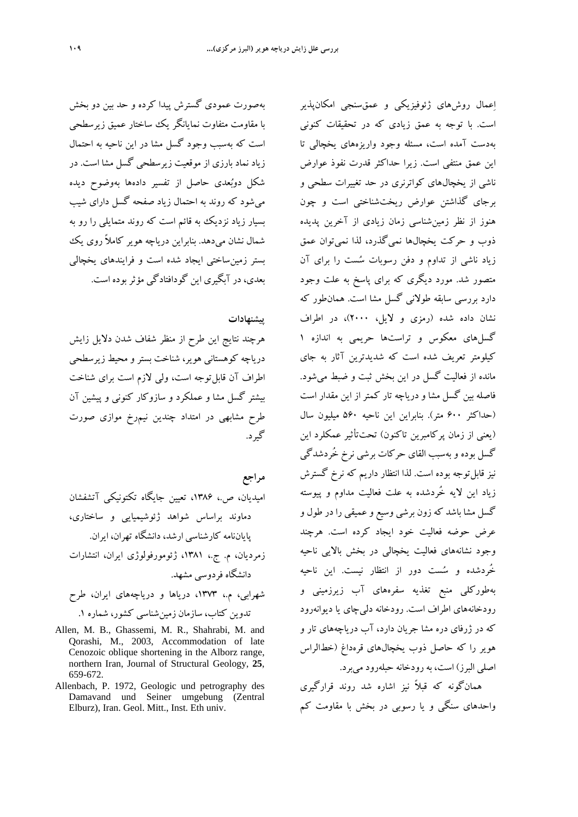بهصورت عمودي گسترش پيدا كرده و حد بين دو بخش با مقاومت متفاوت نمايانگر يك ساختار عميق زيرسطحي است كه بهسبب وجود گسل مشا در اين ناحيه به احتمال زياد نماد بارزي از موقعيت زيرسطحي گسل مشا است. در شكل دوبعدي حاصل از تفسير دادهها بهوضوح ديده ميشود كه روند به احتمال زياد صفحه گسل داراي شيب بسيار زياد نزديك به قائم است كه روند متمايلي را رو به شمال نشان ميدهد. بنابراين درياچه هوير كاملاً روى يك بستر زمينساختي ايجاد شده است و فرايندهاي يخچالي بعدي، در آبگيري اين گودافتادگي مؤثربوده است.

### **پيشنهادات**

هرچند نتايج اين طرح از منظر شفاف شدن دلايل زايش درياچه كوهستاني هوير، شناخت بستر و محيط زيرسطحي اطراف آن قابلتوجه است، ولي لازم است براي شناخت بيشتر گسل مشا و عملكرد و سازوكار كنوني و پيشين آن طرح مشابهي در امتداد چندين نيمرخ موازي صورت گيرد.

- **مراجع** اميديان، ص،. ،1386 تعيين جايگاه تكتونيكي آتشفشان دماوند براساس شواهد ژئوشيميايي و ساختاري، پاياننامه كارشناسي ارشد، دانشگاه تهران، ايران. زمرديان، م. ج،. ،1381 ژئومورفولوژي ايران، انتشارات دانشگاه فردوسي مشهد. شهرابي، م،. ،1373 درياها و درياچههاي ايران، طرح تدوين كتاب، سازمان زمينشناسي كشور، شماره .1
- Allen, M. B., Ghassemi, M. R., Shahrabi, M. and Qorashi, M., 2003, Accommodation of late Cenozoic oblique shortening in the Alborz range, northern Iran, Journal of Structural Geology, **25**, 659-672.
- Allenbach, P. 1972, Geologic und petrography des Damavand und Seiner umgebung (Zentral Elburz), Iran. Geol. Mitt., Inst. Eth univ.

اعمال روشهاي ژئوفيزيكي و عمقسنجي امكانپذير است. با توجه به عمق زيادي كه در تحقيقات كنوني بهدست آمده است، مسئله وجود واريزههاي يخچالي تا اين عمق منتفي است. زيرا حداكثر قدرت نفوذ عوارض ناشي از يخچالهاي كواترنري در حد تغييرات سطحي و برجاي گذاشتن عوارض ريختشناختي است و چون هنوز از نظر زمينشناسي زمان زيادي از آخرين پديده ذوب و حركت يخچالها نميگذرد، لذا نميتوان عمق زياد ناشي از تداوم و دفن رسوبات سست را براي آن متصور شد. مورد ديگري كه براي پاسخ به علت وجود دارد بررسي سابقه طولاني گسل مشا است. همانطور كه نشان داده شده (رمزي و لايل، 2000)، در اطراف گسلهاي معكوس و تراستها حريمي به اندازه 1 كيلومتر تعريف شده است كه شديدترين آثار به جاي مانده از فعاليت گسل در اين بخش ثبت و ضبط ميشود. فاصله بين گسل مشا و درياچه تار كمتر از اين مقدار است (حداكثر 600 متر). بنابراين اين ناحيه 560 ميليون سال (يعني از زمان پركامبرين تاكنون) تحتتأثير عمكلرد اين گسل بوده و بهسبب القاي حركات برشي نرخ خُردشدگي نيز قابل توجه بوده است. لذا انتظار داريم كه نرخ گسترش زياد اين لايه خُردشده به علت فعاليت مداوم و پيوسته گسل مشا باشد كه زون برشي وسيع و عميقي را در طول و عرض حوضه فعاليت خود ايجاد كرده است. هرچند وجود نشانههاي فعاليت يخچالي در بخش بالايي ناحيه خُردشده و سست دور از انتظار نيست. اين ناحيه بهطوركلي منبع تغذيه سفرههاي آب زيرزميني و رودخانههاي اطراف است. رودخانه دليچاي يا ديوانهرود كه در ژرفاي دره مشا جريان دارد، آب درياچههاي تار و هوير را كه حاصل ذوب يخچالهاي قرهداغ (خطالراس اصلي البرز) است، به رودخانه حبلهرود ميبرد.

همانگونه كه قبلاً نيز اشاره شد روند قرارگيري واحدهاي سنگي و يا رسوبي در بخش با مقاومت كم